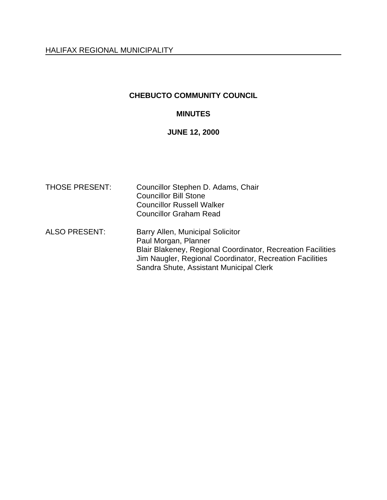# **CHEBUCTO COMMUNITY COUNCIL**

# **MINUTES**

### **JUNE 12, 2000**

| <b>THOSE PRESENT:</b> | Councillor Stephen D. Adams, Chair<br><b>Councillor Bill Stone</b><br><b>Councillor Russell Walker</b><br><b>Councillor Graham Read</b>                                                                                        |
|-----------------------|--------------------------------------------------------------------------------------------------------------------------------------------------------------------------------------------------------------------------------|
| <b>ALSO PRESENT:</b>  | Barry Allen, Municipal Solicitor<br>Paul Morgan, Planner<br>Blair Blakeney, Regional Coordinator, Recreation Facilities<br>Jim Naugler, Regional Coordinator, Recreation Facilities<br>Sandra Shute, Assistant Municipal Clerk |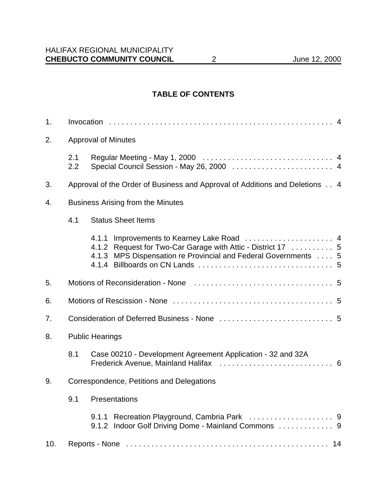# **TABLE OF CONTENTS**

| 1.                                                                                 |                                                                             |                                                                                                                                             |  |
|------------------------------------------------------------------------------------|-----------------------------------------------------------------------------|---------------------------------------------------------------------------------------------------------------------------------------------|--|
| 2.                                                                                 | <b>Approval of Minutes</b>                                                  |                                                                                                                                             |  |
|                                                                                    | 2.1<br>2.2                                                                  |                                                                                                                                             |  |
| 3.                                                                                 | Approval of the Order of Business and Approval of Additions and Deletions 4 |                                                                                                                                             |  |
| <b>Business Arising from the Minutes</b><br>4.<br>4.1<br><b>Status Sheet Items</b> |                                                                             |                                                                                                                                             |  |
|                                                                                    |                                                                             |                                                                                                                                             |  |
|                                                                                    |                                                                             | 4.1.1<br>4.1.2 Request for Two-Car Garage with Attic - District 17  5<br>MPS Dispensation re Provincial and Federal Governments  5<br>4.1.3 |  |
| 5.                                                                                 |                                                                             |                                                                                                                                             |  |
| 6.                                                                                 |                                                                             |                                                                                                                                             |  |
| 7.                                                                                 |                                                                             |                                                                                                                                             |  |
| 8.                                                                                 | <b>Public Hearings</b>                                                      |                                                                                                                                             |  |
|                                                                                    | 8.1                                                                         | Case 00210 - Development Agreement Application - 32 and 32A                                                                                 |  |
| Correspondence, Petitions and Delegations<br>9.                                    |                                                                             |                                                                                                                                             |  |
|                                                                                    |                                                                             | 9.1 Presentations                                                                                                                           |  |
|                                                                                    |                                                                             | 9.1.1<br>9.1.2 Indoor Golf Driving Dome - Mainland Commons  9                                                                               |  |
| 10.                                                                                |                                                                             |                                                                                                                                             |  |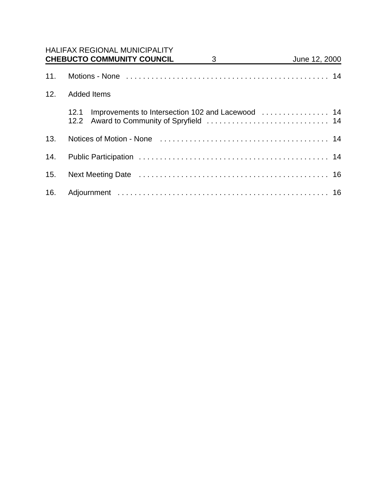|     | <b>HALIFAX REGIONAL MUNICIPALITY</b><br><b>CHEBUCTO COMMUNITY COUNCIL</b><br>3<br><u>and the state</u> | June 12, 2000 |  |  |  |
|-----|--------------------------------------------------------------------------------------------------------|---------------|--|--|--|
| 11. |                                                                                                        |               |  |  |  |
| 12. | <b>Added Items</b>                                                                                     |               |  |  |  |
|     | Improvements to Intersection 102 and Lacewood  14<br>12.1<br>12.2                                      |               |  |  |  |
| 13. |                                                                                                        |               |  |  |  |
| 14. |                                                                                                        |               |  |  |  |
| 15. |                                                                                                        |               |  |  |  |
| 16. |                                                                                                        |               |  |  |  |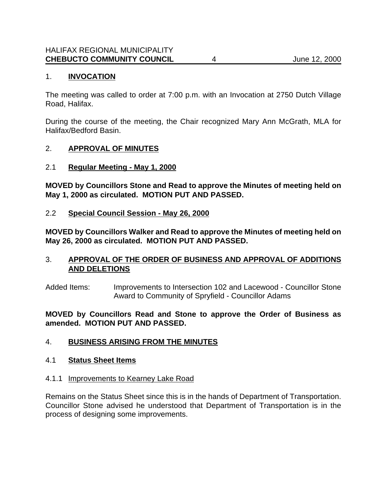# 1. **INVOCATION**

The meeting was called to order at 7:00 p.m. with an Invocation at 2750 Dutch Village Road, Halifax.

During the course of the meeting, the Chair recognized Mary Ann McGrath, MLA for Halifax/Bedford Basin.

### 2. **APPROVAL OF MINUTES**

### 2.1 **Regular Meeting - May 1, 2000**

**MOVED by Councillors Stone and Read to approve the Minutes of meeting held on May 1, 2000 as circulated. MOTION PUT AND PASSED.**

### 2.2 **Special Council Session - May 26, 2000**

**MOVED by Councillors Walker and Read to approve the Minutes of meeting held on May 26, 2000 as circulated. MOTION PUT AND PASSED.**

### 3. **APPROVAL OF THE ORDER OF BUSINESS AND APPROVAL OF ADDITIONS AND DELETIONS**

Added Items: Improvements to Intersection 102 and Lacewood - Councillor Stone Award to Community of Spryfield - Councillor Adams

**MOVED by Councillors Read and Stone to approve the Order of Business as amended. MOTION PUT AND PASSED.**

### 4. **BUSINESS ARISING FROM THE MINUTES**

### 4.1 **Status Sheet Items**

### 4.1.1 Improvements to Kearney Lake Road

Remains on the Status Sheet since this is in the hands of Department of Transportation. Councillor Stone advised he understood that Department of Transportation is in the process of designing some improvements.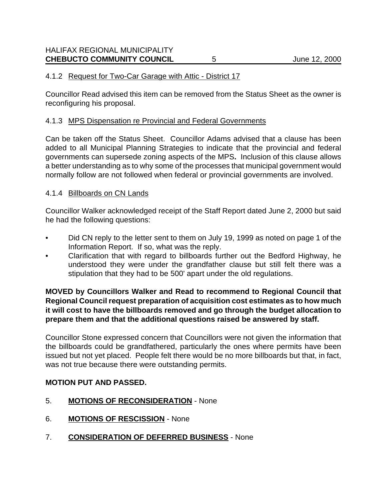### 4.1.2 Request for Two-Car Garage with Attic - District 17

Councillor Read advised this item can be removed from the Status Sheet as the owner is reconfiguring his proposal.

#### 4.1.3 MPS Dispensation re Provincial and Federal Governments

Can be taken off the Status Sheet. Councillor Adams advised that a clause has been added to all Municipal Planning Strategies to indicate that the provincial and federal governments can supersede zoning aspects of the MPS**.** Inclusion of this clause allows a better understanding as to why some of the processes that municipal government would normally follow are not followed when federal or provincial governments are involved.

#### 4.1.4 Billboards on CN Lands

Councillor Walker acknowledged receipt of the Staff Report dated June 2, 2000 but said he had the following questions:

- Did CN reply to the letter sent to them on July 19, 1999 as noted on page 1 of the Information Report. If so, what was the reply.
- Clarification that with regard to billboards further out the Bedford Highway, he understood they were under the grandfather clause but still felt there was a stipulation that they had to be 500' apart under the old regulations.

### **MOVED by Councillors Walker and Read to recommend to Regional Council that Regional Council request preparation of acquisition cost estimates as to how much it will cost to have the billboards removed and go through the budget allocation to prepare them and that the additional questions raised be answered by staff.**

Councillor Stone expressed concern that Councillors were not given the information that the billboards could be grandfathered, particularly the ones where permits have been issued but not yet placed. People felt there would be no more billboards but that, in fact, was not true because there were outstanding permits.

### **MOTION PUT AND PASSED.**

- 5. **MOTIONS OF RECONSIDERATION** None
- 6. **MOTIONS OF RESCISSION** None
- 7. **CONSIDERATION OF DEFERRED BUSINESS** None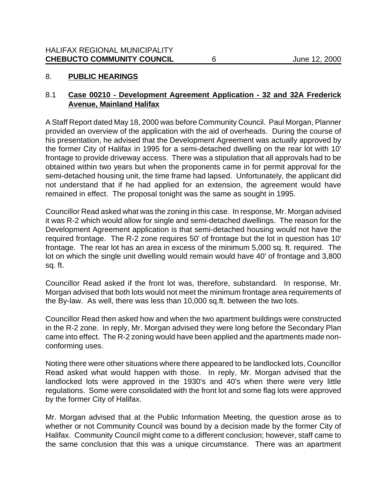# 8. **PUBLIC HEARINGS**

# 8.1 **Case 00210 - Development Agreement Application - 32 and 32A Frederick Avenue, Mainland Halifax**

A Staff Report dated May 18, 2000 was before Community Council. Paul Morgan, Planner provided an overview of the application with the aid of overheads. During the course of his presentation, he advised that the Development Agreement was actually approved by the former City of Halifax in 1995 for a semi-detached dwelling on the rear lot with 10' frontage to provide driveway access. There was a stipulation that all approvals had to be obtained within two years but when the proponents came in for permit approval for the semi-detached housing unit, the time frame had lapsed. Unfortunately, the applicant did not understand that if he had applied for an extension, the agreement would have remained in effect. The proposal tonight was the same as sought in 1995.

Councillor Read asked what was the zoning in this case. In response, Mr. Morgan advised it was R-2 which would allow for single and semi-detached dwellings. The reason for the Development Agreement application is that semi-detached housing would not have the required frontage. The R-2 zone requires 50' of frontage but the lot in question has 10' frontage. The rear lot has an area in excess of the minimum 5,000 sq. ft. required. The lot on which the single unit dwelling would remain would have 40' of frontage and 3,800 sq. ft.

Councillor Read asked if the front lot was, therefore, substandard. In response, Mr. Morgan advised that both lots would not meet the minimum frontage area requirements of the By-law. As well, there was less than 10,000 sq.ft. between the two lots.

Councillor Read then asked how and when the two apartment buildings were constructed in the R-2 zone. In reply, Mr. Morgan advised they were long before the Secondary Plan came into effect. The R-2 zoning would have been applied and the apartments made nonconforming uses.

Noting there were other situations where there appeared to be landlocked lots, Councillor Read asked what would happen with those. In reply, Mr. Morgan advised that the landlocked lots were approved in the 1930's and 40's when there were very little regulations. Some were consolidated with the front lot and some flag lots were approved by the former City of Halifax.

Mr. Morgan advised that at the Public Information Meeting, the question arose as to whether or not Community Council was bound by a decision made by the former City of Halifax. Community Council might come to a different conclusion; however, staff came to the same conclusion that this was a unique circumstance. There was an apartment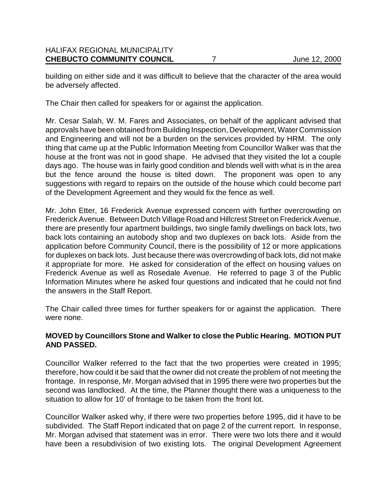building on either side and it was difficult to believe that the character of the area would be adversely affected.

The Chair then called for speakers for or against the application.

Mr. Cesar Salah, W. M. Fares and Associates, on behalf of the applicant advised that approvals have been obtained from Building Inspection, Development, Water Commission and Engineering and will not be a burden on the services provided by HRM. The only thing that came up at the Public Information Meeting from Councillor Walker was that the house at the front was not in good shape. He advised that they visited the lot a couple days ago. The house was in fairly good condition and blends well with what is in the area but the fence around the house is tilted down. The proponent was open to any suggestions with regard to repairs on the outside of the house which could become part of the Development Agreement and they would fix the fence as well.

Mr. John Etter, 16 Frederick Avenue expressed concern with further overcrowding on Frederick Avenue. Between Dutch Village Road and Hillcrest Street on Frederick Avenue, there are presently four apartment buildings, two single family dwellings on back lots, two back lots containing an autobody shop and two duplexes on back lots. Aside from the application before Community Council, there is the possibility of 12 or more applications for duplexes on back lots. Just because there was overcrowding of back lots, did not make it appropriate for more. He asked for consideration of the effect on housing values on Frederick Avenue as well as Rosedale Avenue. He referred to page 3 of the Public Information Minutes where he asked four questions and indicated that he could not find the answers in the Staff Report.

The Chair called three times for further speakers for or against the application. There were none.

# **MOVED by Councillors Stone and Walker to close the Public Hearing. MOTION PUT AND PASSED.**

Councillor Walker referred to the fact that the two properties were created in 1995; therefore, how could it be said that the owner did not create the problem of not meeting the frontage. In response, Mr. Morgan advised that in 1995 there were two properties but the second was landlocked. At the time, the Planner thought there was a uniqueness to the situation to allow for 10' of frontage to be taken from the front lot.

Councillor Walker asked why, if there were two properties before 1995, did it have to be subdivided. The Staff Report indicated that on page 2 of the current report. In response, Mr. Morgan advised that statement was in error. There were two lots there and it would have been a resubdivision of two existing lots. The original Development Agreement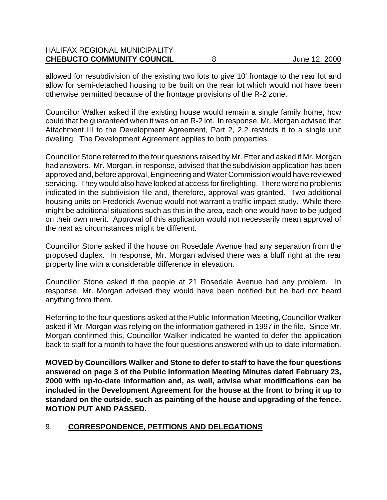| <b>CHEBUCTO COMMUNITY COUNCIL</b>    | June 12, 2000 |
|--------------------------------------|---------------|
| <b>HALIFAX REGIONAL MUNICIPALITY</b> |               |

allowed for resubdivision of the existing two lots to give 10' frontage to the rear lot and allow for semi-detached housing to be built on the rear lot which would not have been otherwise permitted because of the frontage provisions of the R-2 zone.

Councillor Walker asked if the existing house would remain a single family home, how could that be guaranteed when it was on an R-2 lot. In response, Mr. Morgan advised that Attachment III to the Development Agreement, Part 2, 2.2 restricts it to a single unit dwelling. The Development Agreement applies to both properties.

Councillor Stone referred to the four questions raised by Mr. Etter and asked if Mr. Morgan had answers. Mr. Morgan, in response, advised that the subdivision application has been approved and, before approval, Engineering and Water Commission would have reviewed servicing. They would also have looked at access for firefighting. There were no problems indicated in the subdivision file and, therefore, approval was granted. Two additional housing units on Frederick Avenue would not warrant a traffic impact study. While there might be additional situations such as this in the area, each one would have to be judged on their own merit. Approval of this application would not necessarily mean approval of the next as circumstances might be different.

Councillor Stone asked if the house on Rosedale Avenue had any separation from the proposed duplex. In response, Mr. Morgan advised there was a bluff right at the rear property line with a considerable difference in elevation.

Councillor Stone asked if the people at 21 Rosedale Avenue had any problem. In response, Mr. Morgan advised they would have been notified but he had not heard anything from them.

Referring to the four questions asked at the Public Information Meeting, Councillor Walker asked if Mr. Morgan was relying on the information gathered in 1997 in the file. Since Mr. Morgan confirmed this, Councillor Walker indicated he wanted to defer the application back to staff for a month to have the four questions answered with up-to-date information.

**MOVED by Councillors Walker and Stone to defer to staff to have the four questions answered on page 3 of the Public Information Meeting Minutes dated February 23, 2000 with up-to-date information and, as well, advise what modifications can be included in the Development Agreement for the house at the front to bring it up to standard on the outside, such as painting of the house and upgrading of the fence. MOTION PUT AND PASSED.**

# 9. **CORRESPONDENCE, PETITIONS AND DELEGATIONS**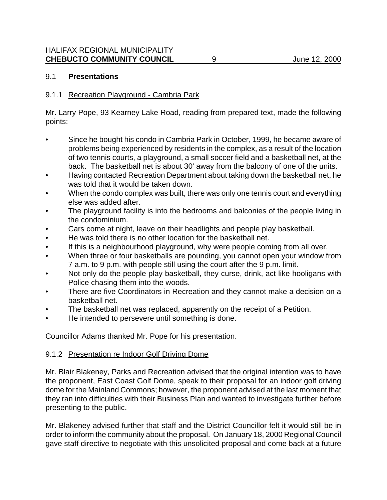# 9.1 **Presentations**

### 9.1.1 Recreation Playground - Cambria Park

Mr. Larry Pope, 93 Kearney Lake Road, reading from prepared text, made the following points:

- Since he bought his condo in Cambria Park in October, 1999, he became aware of problems being experienced by residents in the complex, as a result of the location of two tennis courts, a playground, a small soccer field and a basketball net, at the back. The basketball net is about 30' away from the balcony of one of the units.
- Having contacted Recreation Department about taking down the basketball net, he was told that it would be taken down.
- When the condo complex was built, there was only one tennis court and everything else was added after.
- The playground facility is into the bedrooms and balconies of the people living in the condominium.
- Cars come at night, leave on their headlights and people play basketball.
- He was told there is no other location for the basketball net.
- If this is a neighbourhood playground, why were people coming from all over.
- When three or four basketballs are pounding, you cannot open your window from 7 a.m. to 9 p.m. with people still using the court after the 9 p.m. limit.
- Not only do the people play basketball, they curse, drink, act like hooligans with Police chasing them into the woods.
- There are five Coordinators in Recreation and they cannot make a decision on a basketball net.
- The basketball net was replaced, apparently on the receipt of a Petition.
- He intended to persevere until something is done.

Councillor Adams thanked Mr. Pope for his presentation.

### 9.1.2 Presentation re Indoor Golf Driving Dome

Mr. Blair Blakeney, Parks and Recreation advised that the original intention was to have the proponent, East Coast Golf Dome, speak to their proposal for an indoor golf driving dome for the Mainland Commons; however, the proponent advised at the last moment that they ran into difficulties with their Business Plan and wanted to investigate further before presenting to the public.

Mr. Blakeney advised further that staff and the District Councillor felt it would still be in order to inform the community about the proposal. On January 18, 2000 Regional Council gave staff directive to negotiate with this unsolicited proposal and come back at a future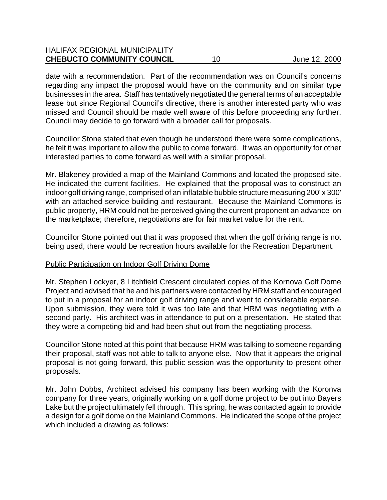# HALIFAX REGIONAL MUNICIPALITY **CHEBUCTO COMMUNITY COUNCIL** 10 June 12, 2000

date with a recommendation. Part of the recommendation was on Council's concerns regarding any impact the proposal would have on the community and on similar type businesses in the area. Staff has tentatively negotiated the general terms of an acceptable lease but since Regional Council's directive, there is another interested party who was missed and Council should be made well aware of this before proceeding any further. Council may decide to go forward with a broader call for proposals.

Councillor Stone stated that even though he understood there were some complications, he felt it was important to allow the public to come forward. It was an opportunity for other interested parties to come forward as well with a similar proposal.

Mr. Blakeney provided a map of the Mainland Commons and located the proposed site. He indicated the current facilities. He explained that the proposal was to construct an indoor golf driving range, comprised of an inflatable bubble structure measuring 200' x 300' with an attached service building and restaurant. Because the Mainland Commons is public property, HRM could not be perceived giving the current proponent an advance on the marketplace; therefore, negotiations are for fair market value for the rent.

Councillor Stone pointed out that it was proposed that when the golf driving range is not being used, there would be recreation hours available for the Recreation Department.

#### Public Participation on Indoor Golf Driving Dome

Mr. Stephen Lockyer, 8 Litchfield Crescent circulated copies of the Kornova Golf Dome Project and advised that he and his partners were contacted by HRM staff and encouraged to put in a proposal for an indoor golf driving range and went to considerable expense. Upon submission, they were told it was too late and that HRM was negotiating with a second party. His architect was in attendance to put on a presentation. He stated that they were a competing bid and had been shut out from the negotiating process.

Councillor Stone noted at this point that because HRM was talking to someone regarding their proposal, staff was not able to talk to anyone else. Now that it appears the original proposal is not going forward, this public session was the opportunity to present other proposals.

Mr. John Dobbs, Architect advised his company has been working with the Koronva company for three years, originally working on a golf dome project to be put into Bayers Lake but the project ultimately fell through. This spring, he was contacted again to provide a design for a golf dome on the Mainland Commons. He indicated the scope of the project which included a drawing as follows: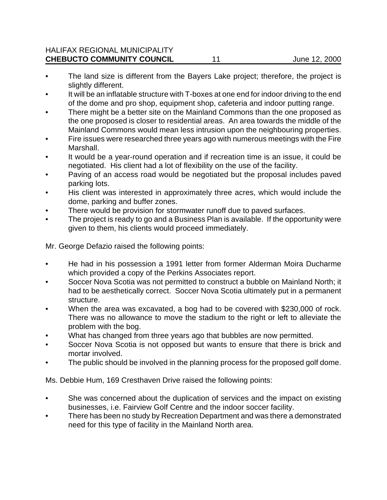### HALIFAX REGIONAL MUNICIPALITY **CHEBUCTO COMMUNITY COUNCIL** 11 June 12, 2000

- The land size is different from the Bayers Lake project; therefore, the project is slightly different.
- It will be an inflatable structure with T-boxes at one end for indoor driving to the end of the dome and pro shop, equipment shop, cafeteria and indoor putting range.
- There might be a better site on the Mainland Commons than the one proposed as the one proposed is closer to residential areas. An area towards the middle of the Mainland Commons would mean less intrusion upon the neighbouring properties.
- Fire issues were researched three years ago with numerous meetings with the Fire Marshall.
- It would be a year-round operation and if recreation time is an issue, it could be negotiated. His client had a lot of flexibility on the use of the facility.
- Paving of an access road would be negotiated but the proposal includes paved parking lots.
- His client was interested in approximately three acres, which would include the dome, parking and buffer zones.
- There would be provision for stormwater runoff due to paved surfaces.
- The project is ready to go and a Business Plan is available. If the opportunity were given to them, his clients would proceed immediately.

Mr. George Defazio raised the following points:

- He had in his possession a 1991 letter from former Alderman Moira Ducharme which provided a copy of the Perkins Associates report.
- Soccer Nova Scotia was not permitted to construct a bubble on Mainland North; it had to be aesthetically correct. Soccer Nova Scotia ultimately put in a permanent structure.
- When the area was excavated, a bog had to be covered with \$230,000 of rock. There was no allowance to move the stadium to the right or left to alleviate the problem with the bog.
- What has changed from three years ago that bubbles are now permitted.
- Soccer Nova Scotia is not opposed but wants to ensure that there is brick and mortar involved.
- The public should be involved in the planning process for the proposed golf dome.

Ms. Debbie Hum, 169 Cresthaven Drive raised the following points:

- She was concerned about the duplication of services and the impact on existing businesses, i.e. Fairview Golf Centre and the indoor soccer facility.
- There has been no study by Recreation Department and was there a demonstrated need for this type of facility in the Mainland North area.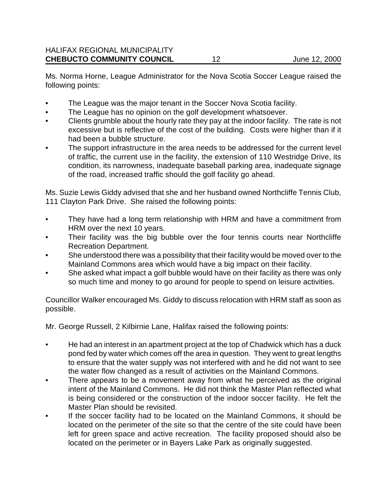Ms. Norma Horne, League Administrator for the Nova Scotia Soccer League raised the following points:

- The League was the major tenant in the Soccer Nova Scotia facility.
- The League has no opinion on the golf development whatsoever.
- Clients grumble about the hourly rate they pay at the indoor facility. The rate is not excessive but is reflective of the cost of the building. Costs were higher than if it had been a bubble structure.
- The support infrastructure in the area needs to be addressed for the current level of traffic, the current use in the facility, the extension of 110 Westridge Drive, its condition, its narrowness, inadequate baseball parking area, inadequate signage of the road, increased traffic should the golf facility go ahead.

Ms. Suzie Lewis Giddy advised that she and her husband owned Northcliffe Tennis Club, 111 Clayton Park Drive. She raised the following points:

- They have had a long term relationship with HRM and have a commitment from HRM over the next 10 years.
- Their facility was the big bubble over the four tennis courts near Northcliffe Recreation Department.
- She understood there was a possibility that their facility would be moved over to the Mainland Commons area which would have a big impact on their facility.
- She asked what impact a golf bubble would have on their facility as there was only so much time and money to go around for people to spend on leisure activities.

Councillor Walker encouraged Ms. Giddy to discuss relocation with HRM staff as soon as possible.

Mr. George Russell, 2 Kilbirnie Lane, Halifax raised the following points:

- He had an interest in an apartment project at the top of Chadwick which has a duck pond fed by water which comes off the area in question. They went to great lengths to ensure that the water supply was not interfered with and he did not want to see the water flow changed as a result of activities on the Mainland Commons.
- There appears to be a movement away from what he perceived as the original intent of the Mainland Commons. He did not think the Master Plan reflected what is being considered or the construction of the indoor soccer facility. He felt the Master Plan should be revisited.
- If the soccer facility had to be located on the Mainland Commons, it should be located on the perimeter of the site so that the centre of the site could have been left for green space and active recreation. The facility proposed should also be located on the perimeter or in Bayers Lake Park as originally suggested.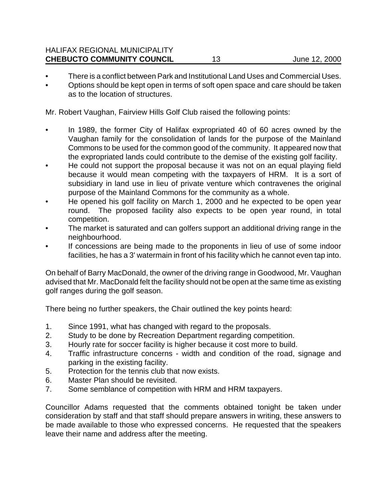### HALIFAX REGIONAL MUNICIPALITY **CHEBUCTO COMMUNITY COUNCIL** 13 June 12, 2000

- There is a conflict between Park and Institutional Land Uses and Commercial Uses.
- Options should be kept open in terms of soft open space and care should be taken as to the location of structures.

Mr. Robert Vaughan, Fairview Hills Golf Club raised the following points:

- In 1989, the former City of Halifax expropriated 40 of 60 acres owned by the Vaughan family for the consolidation of lands for the purpose of the Mainland Commons to be used for the common good of the community. It appeared now that the expropriated lands could contribute to the demise of the existing golf facility.
- He could not support the proposal because it was not on an equal playing field because it would mean competing with the taxpayers of HRM. It is a sort of subsidiary in land use in lieu of private venture which contravenes the original purpose of the Mainland Commons for the community as a whole.
- He opened his golf facility on March 1, 2000 and he expected to be open year round. The proposed facility also expects to be open year round, in total competition.
- The market is saturated and can golfers support an additional driving range in the neighbourhood.
- If concessions are being made to the proponents in lieu of use of some indoor facilities, he has a 3' watermain in front of his facility which he cannot even tap into.

On behalf of Barry MacDonald, the owner of the driving range in Goodwood, Mr. Vaughan advised that Mr. MacDonald felt the facility should not be open at the same time as existing golf ranges during the golf season.

There being no further speakers, the Chair outlined the key points heard:

- 1. Since 1991, what has changed with regard to the proposals.
- 2. Study to be done by Recreation Department regarding competition.
- 3. Hourly rate for soccer facility is higher because it cost more to build.
- 4. Traffic infrastructure concerns width and condition of the road, signage and parking in the existing facility.
- 5. Protection for the tennis club that now exists.
- 6. Master Plan should be revisited.
- 7. Some semblance of competition with HRM and HRM taxpayers.

Councillor Adams requested that the comments obtained tonight be taken under consideration by staff and that staff should prepare answers in writing, these answers to be made available to those who expressed concerns. He requested that the speakers leave their name and address after the meeting.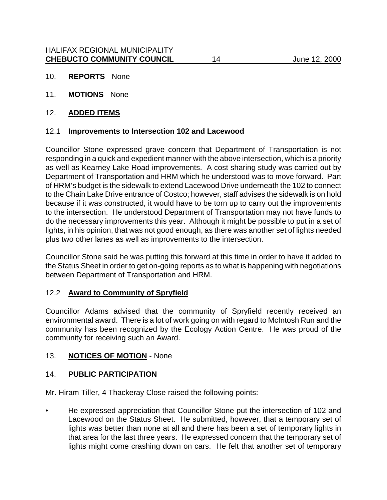- 10. **REPORTS** None
- 11. **MOTIONS** None

### 12. **ADDED ITEMS**

### 12.1 **Improvements to Intersection 102 and Lacewood**

Councillor Stone expressed grave concern that Department of Transportation is not responding in a quick and expedient manner with the above intersection, which is a priority as well as Kearney Lake Road improvements. A cost sharing study was carried out by Department of Transportation and HRM which he understood was to move forward. Part of HRM's budget is the sidewalk to extend Lacewood Drive underneath the 102 to connect to the Chain Lake Drive entrance of Costco; however, staff advises the sidewalk is on hold because if it was constructed, it would have to be torn up to carry out the improvements to the intersection. He understood Department of Transportation may not have funds to do the necessary improvements this year. Although it might be possible to put in a set of lights, in his opinion, that was not good enough, as there was another set of lights needed plus two other lanes as well as improvements to the intersection.

Councillor Stone said he was putting this forward at this time in order to have it added to the Status Sheet in order to get on-going reports as to what is happening with negotiations between Department of Transportation and HRM.

### 12.2 **Award to Community of Spryfield**

Councillor Adams advised that the community of Spryfield recently received an environmental award. There is a lot of work going on with regard to McIntosh Run and the community has been recognized by the Ecology Action Centre. He was proud of the community for receiving such an Award.

# 13. **NOTICES OF MOTION** - None

# 14. **PUBLIC PARTICIPATION**

Mr. Hiram Tiller, 4 Thackeray Close raised the following points:

• He expressed appreciation that Councillor Stone put the intersection of 102 and Lacewood on the Status Sheet. He submitted, however, that a temporary set of lights was better than none at all and there has been a set of temporary lights in that area for the last three years. He expressed concern that the temporary set of lights might come crashing down on cars. He felt that another set of temporary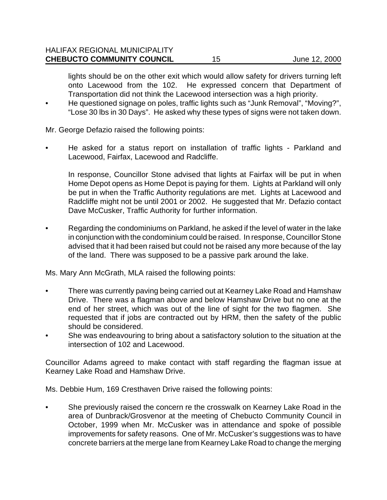lights should be on the other exit which would allow safety for drivers turning left onto Lacewood from the 102. He expressed concern that Department of Transportation did not think the Lacewood intersection was a high priority.

• He questioned signage on poles, traffic lights such as "Junk Removal", "Moving?", "Lose 30 lbs in 30 Days". He asked why these types of signs were not taken down.

Mr. George Defazio raised the following points:

• He asked for a status report on installation of traffic lights - Parkland and Lacewood, Fairfax, Lacewood and Radcliffe.

In response, Councillor Stone advised that lights at Fairfax will be put in when Home Depot opens as Home Depot is paying for them. Lights at Parkland will only be put in when the Traffic Authority regulations are met. Lights at Lacewood and Radcliffe might not be until 2001 or 2002. He suggested that Mr. Defazio contact Dave McCusker, Traffic Authority for further information.

• Regarding the condominiums on Parkland, he asked if the level of water in the lake in conjunction with the condominium could be raised. In response, Councillor Stone advised that it had been raised but could not be raised any more because of the lay of the land. There was supposed to be a passive park around the lake.

Ms. Mary Ann McGrath, MLA raised the following points:

- There was currently paving being carried out at Kearney Lake Road and Hamshaw Drive. There was a flagman above and below Hamshaw Drive but no one at the end of her street, which was out of the line of sight for the two flagmen. She requested that if jobs are contracted out by HRM, then the safety of the public should be considered.
- She was endeavouring to bring about a satisfactory solution to the situation at the intersection of 102 and Lacewood.

Councillor Adams agreed to make contact with staff regarding the flagman issue at Kearney Lake Road and Hamshaw Drive.

Ms. Debbie Hum, 169 Cresthaven Drive raised the following points:

• She previously raised the concern re the crosswalk on Kearney Lake Road in the area of Dunbrack/Grosvenor at the meeting of Chebucto Community Council in October, 1999 when Mr. McCusker was in attendance and spoke of possible improvements for safety reasons. One of Mr. McCusker's suggestions was to have concrete barriers at the merge lane from Kearney Lake Road to change the merging